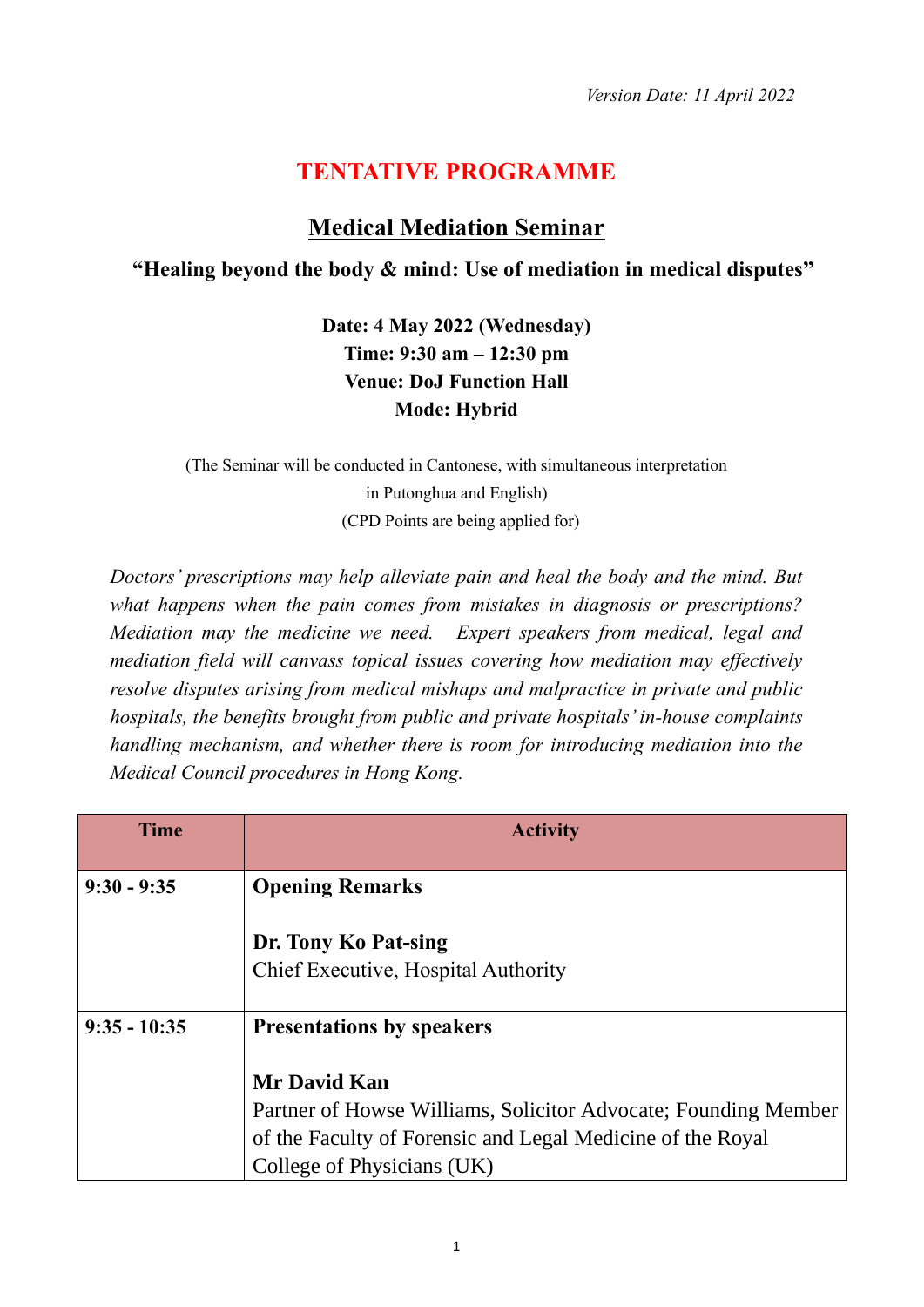## **TENTATIVE PROGRAMME**

## **Medical Mediation Seminar**

## **"Healing beyond the body & mind: Use of mediation in medical disputes"**

**Date: 4 May 2022 (Wednesday) Time: 9:30 am – 12:30 pm Venue: DoJ Function Hall Mode: Hybrid**

(The Seminar will be conducted in Cantonese, with simultaneous interpretation in Putonghua and English) (CPD Points are being applied for)

*Doctors' prescriptions may help alleviate pain and heal the body and the mind. But what happens when the pain comes from mistakes in diagnosis or prescriptions? Mediation may the medicine we need. Expert speakers from medical, legal and mediation field will canvass topical issues covering how mediation may effectively resolve disputes arising from medical mishaps and malpractice in private and public hospitals, the benefits brought from public and private hospitals'in-house complaints handling mechanism, and whether there is room for introducing mediation into the Medical Council procedures in Hong Kong.*

| <b>Time</b>    | <b>Activity</b>                                                                                                                                                                   |
|----------------|-----------------------------------------------------------------------------------------------------------------------------------------------------------------------------------|
| $9:30 - 9:35$  | <b>Opening Remarks</b>                                                                                                                                                            |
|                | Dr. Tony Ko Pat-sing<br>Chief Executive, Hospital Authority                                                                                                                       |
| $9:35 - 10:35$ | <b>Presentations by speakers</b>                                                                                                                                                  |
|                | <b>Mr David Kan</b><br>Partner of Howse Williams, Solicitor Advocate; Founding Member<br>of the Faculty of Forensic and Legal Medicine of the Royal<br>College of Physicians (UK) |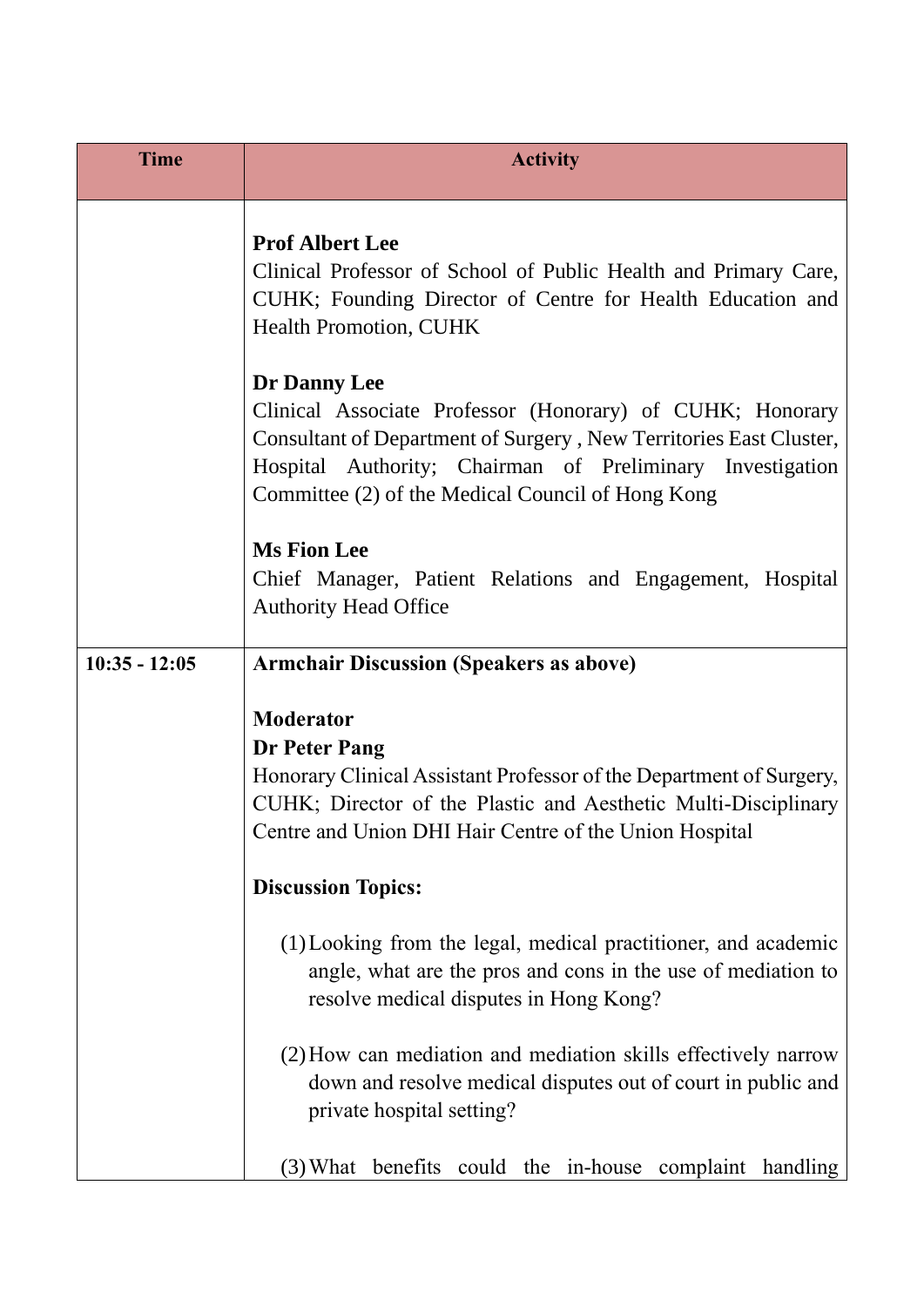| <b>Time</b>     | <b>Activity</b>                                                                                                                                                                                                                                                   |
|-----------------|-------------------------------------------------------------------------------------------------------------------------------------------------------------------------------------------------------------------------------------------------------------------|
|                 | <b>Prof Albert Lee</b><br>Clinical Professor of School of Public Health and Primary Care,<br>CUHK; Founding Director of Centre for Health Education and<br><b>Health Promotion, CUHK</b>                                                                          |
|                 | Dr Danny Lee<br>Clinical Associate Professor (Honorary) of CUHK; Honorary<br>Consultant of Department of Surgery, New Territories East Cluster,<br>Hospital Authority; Chairman of Preliminary Investigation<br>Committee (2) of the Medical Council of Hong Kong |
|                 | <b>Ms Fion Lee</b><br>Chief Manager, Patient Relations and Engagement, Hospital<br><b>Authority Head Office</b>                                                                                                                                                   |
| $10:35 - 12:05$ | <b>Armchair Discussion (Speakers as above)</b>                                                                                                                                                                                                                    |
|                 | <b>Moderator</b><br>Dr Peter Pang<br>Honorary Clinical Assistant Professor of the Department of Surgery,<br>CUHK; Director of the Plastic and Aesthetic Multi-Disciplinary<br>Centre and Union DHI Hair Centre of the Union Hospital                              |
|                 | <b>Discussion Topics:</b>                                                                                                                                                                                                                                         |
|                 | (1) Looking from the legal, medical practitioner, and academic<br>angle, what are the pros and cons in the use of mediation to<br>resolve medical disputes in Hong Kong?                                                                                          |
|                 | (2) How can mediation and mediation skills effectively narrow<br>down and resolve medical disputes out of court in public and<br>private hospital setting?                                                                                                        |
|                 | (3) What benefits could the in-house complaint handling                                                                                                                                                                                                           |